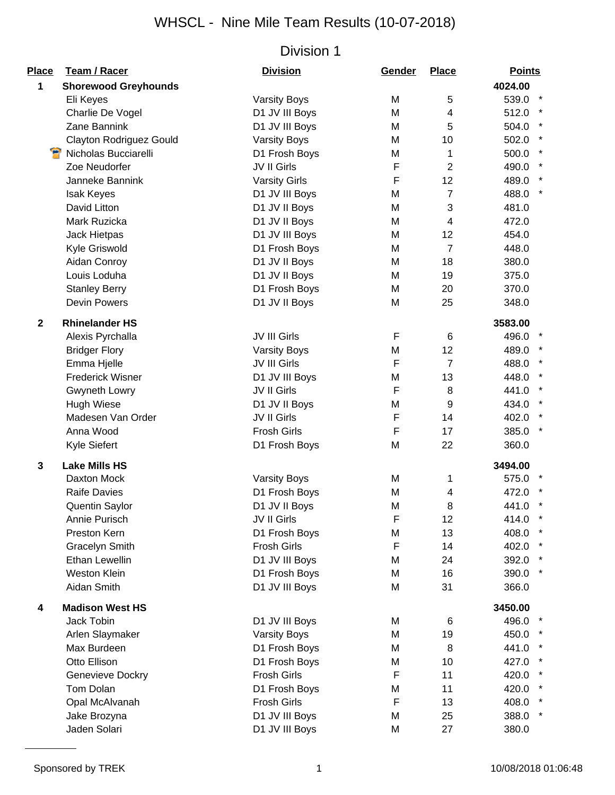| <b>Place</b> | Team / Racer                   | <b>Division</b>      | Gender      | <b>Place</b>   | <b>Points</b>    |
|--------------|--------------------------------|----------------------|-------------|----------------|------------------|
| 1            | <b>Shorewood Greyhounds</b>    |                      |             |                | 4024.00          |
|              | Eli Keyes                      | <b>Varsity Boys</b>  | M           | 5              | 539.0 *          |
|              | Charlie De Vogel               | D1 JV III Boys       | M           | 4              | 512.0            |
|              | Zane Bannink                   | D1 JV III Boys       | M           | 5              | 504.0            |
|              | <b>Clayton Rodriguez Gould</b> | <b>Varsity Boys</b>  | M           | 10             | 502.0            |
|              | Nicholas Bucciarelli           | D1 Frosh Boys        | M           | 1              | 500.0            |
|              | Zoe Neudorfer                  | JV II Girls          | $\mathsf F$ | $\overline{2}$ | 490.0            |
|              | Janneke Bannink                | <b>Varsity Girls</b> | F           | 12             | 489.0 *          |
|              | <b>Isak Keyes</b>              | D1 JV III Boys       | M           | $\overline{7}$ | 488.0 *          |
|              | David Litton                   | D1 JV II Boys        | M           | 3              | 481.0            |
|              | Mark Ruzicka                   | D1 JV II Boys        | M           | 4              | 472.0            |
|              | Jack Hietpas                   | D1 JV III Boys       | M           | 12             | 454.0            |
|              | Kyle Griswold                  | D1 Frosh Boys        | M           | $\overline{7}$ | 448.0            |
|              | Aidan Conroy                   | D1 JV II Boys        | M           | 18             | 380.0            |
|              | Louis Loduha                   | D1 JV II Boys        | M           | 19             | 375.0            |
|              | <b>Stanley Berry</b>           | D1 Frosh Boys        | M           | 20             | 370.0            |
|              | <b>Devin Powers</b>            | D1 JV II Boys        | M           | 25             | 348.0            |
|              |                                |                      |             |                |                  |
| $\mathbf{2}$ | <b>Rhinelander HS</b>          |                      |             |                | 3583.00          |
|              | Alexis Pyrchalla               | JV III Girls         | F           | 6              | 496.0 *          |
|              | <b>Bridger Flory</b>           | <b>Varsity Boys</b>  | M           | 12             | 489.0 *          |
|              | Emma Hjelle                    | JV III Girls         | F           | $\overline{7}$ | 488.0 *          |
|              | <b>Frederick Wisner</b>        | D1 JV III Boys       | M           | 13             | 448.0            |
|              | Gwyneth Lowry                  | JV II Girls          | F           | 8              | 441.0            |
|              | <b>Hugh Wiese</b>              | D1 JV II Boys        | M           | 9              | 434.0            |
|              | Madesen Van Order              | JV II Girls          | F           | 14             | $\star$<br>402.0 |
|              | Anna Wood                      | <b>Frosh Girls</b>   | $\mathsf F$ | 17             | 385.0            |
|              | Kyle Siefert                   | D1 Frosh Boys        | M           | 22             | 360.0            |
| 3            | <b>Lake Mills HS</b>           |                      |             |                | 3494.00          |
|              | Daxton Mock                    | <b>Varsity Boys</b>  | M           | 1              | 575.0            |
|              | <b>Raife Davies</b>            | D1 Frosh Boys        | M           | 4              | 472.0            |
|              | <b>Quentin Saylor</b>          | D1 JV II Boys        | M           | 8              | 441.0            |
|              | Annie Purisch                  | JV II Girls          | F           | 12             | 414.0            |
|              | Preston Kern                   | D1 Frosh Boys        | M           | 13             | 408.0 *          |
|              | <b>Gracelyn Smith</b>          | <b>Frosh Girls</b>   | $\mathsf F$ | 14             | 402.0 *          |
|              | Ethan Lewellin                 | D1 JV III Boys       | M           | 24             | 392.0 *          |
|              | <b>Weston Klein</b>            | D1 Frosh Boys        | M           | 16             | 390.0 *          |
|              | Aidan Smith                    | D1 JV III Boys       | M           | 31             | 366.0            |
| 4            | <b>Madison West HS</b>         |                      |             |                | 3450.00          |
|              | Jack Tobin                     | D1 JV III Boys       | M           | 6              | 496.0 *          |
|              | Arlen Slaymaker                | <b>Varsity Boys</b>  | M           | 19             | 450.0 *          |
|              | Max Burdeen                    | D1 Frosh Boys        | M           | 8              | 441.0            |
|              | Otto Ellison                   | D1 Frosh Boys        | M           | 10             | 427.0 *          |
|              | Genevieve Dockry               | <b>Frosh Girls</b>   | F           | 11             | 420.0            |
|              | Tom Dolan                      | D1 Frosh Boys        | M           | 11             | 420.0 *          |
|              | Opal McAlvanah                 | <b>Frosh Girls</b>   | F           | 13             | 408.0            |
|              | Jake Brozyna                   | D1 JV III Boys       | M           | 25             | 388.0 *          |
|              | Jaden Solari                   | D1 JV III Boys       | M           | 27             | 380.0            |
|              |                                |                      |             |                |                  |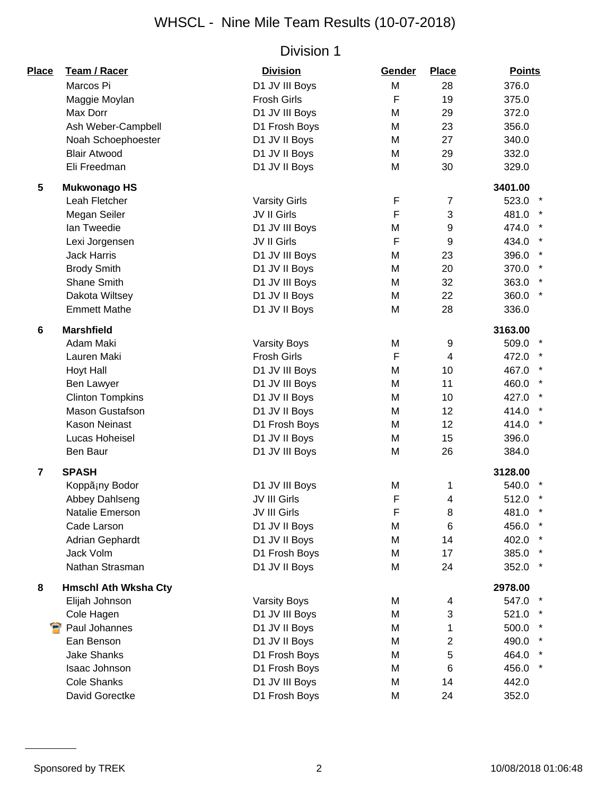| Place           | <b>Team / Racer</b>         | <b>Division</b>      | Gender       | <b>Place</b>   | <b>Points</b>    |
|-----------------|-----------------------------|----------------------|--------------|----------------|------------------|
|                 | Marcos Pi                   | D1 JV III Boys       | M            | 28             | 376.0            |
|                 | Maggie Moylan               | <b>Frosh Girls</b>   | $\mathsf{F}$ | 19             | 375.0            |
|                 | Max Dorr                    | D1 JV III Boys       | M            | 29             | 372.0            |
|                 | Ash Weber-Campbell          | D1 Frosh Boys        | M            | 23             | 356.0            |
|                 | Noah Schoephoester          | D1 JV II Boys        | M            | 27             | 340.0            |
|                 | <b>Blair Atwood</b>         | D1 JV II Boys        | M            | 29             | 332.0            |
|                 | Eli Freedman                | D1 JV II Boys        | M            | 30             | 329.0            |
| $5\phantom{.0}$ | <b>Mukwonago HS</b>         |                      |              |                | 3401.00          |
|                 | Leah Fletcher               | <b>Varsity Girls</b> | F            | $\overline{7}$ | 523.0            |
|                 | Megan Seiler                | JV II Girls          | $\mathsf F$  | 3              | 481.0            |
|                 | Ian Tweedie                 | D1 JV III Boys       | M            | 9              | 474.0            |
|                 | Lexi Jorgensen              | JV II Girls          | $\mathsf F$  | 9              | 434.0            |
|                 | <b>Jack Harris</b>          | D1 JV III Boys       | M            | 23             | 396.0            |
|                 | <b>Brody Smith</b>          | D1 JV II Boys        | M            | 20             | 370.0            |
|                 | Shane Smith                 | D1 JV III Boys       | M            | 32             | 363.0            |
|                 | Dakota Wiltsey              | D1 JV II Boys        | M            | 22             | 360.0            |
|                 | <b>Emmett Mathe</b>         | D1 JV II Boys        | M            | 28             | 336.0            |
| 6               | <b>Marshfield</b>           |                      |              |                | 3163.00          |
|                 | Adam Maki                   | <b>Varsity Boys</b>  | M            | 9              | 509.0            |
|                 | Lauren Maki                 | <b>Frosh Girls</b>   | F            | $\overline{4}$ | 472.0            |
|                 | <b>Hoyt Hall</b>            | D1 JV III Boys       | M            | 10             | 467.0            |
|                 | Ben Lawyer                  | D1 JV III Boys       | M            | 11             | 460.0            |
|                 | <b>Clinton Tompkins</b>     | D1 JV II Boys        | M            | 10             | 427.0            |
|                 | <b>Mason Gustafson</b>      | D1 JV II Boys        | M            | 12             | 414.0<br>$\star$ |
|                 | <b>Kason Neinast</b>        | D1 Frosh Boys        | M            | 12             | 414.0            |
|                 | Lucas Hoheisel              | D1 JV II Boys        | M            | 15             | 396.0            |
|                 | <b>Ben Baur</b>             | D1 JV III Boys       | M            | 26             | 384.0            |
| $\overline{7}$  | <b>SPASH</b>                |                      |              |                | 3128.00          |
|                 | Koppã¡ny Bodor              | D1 JV III Boys       | M            | 1              | 540.0            |
|                 | Abbey Dahlseng              | JV III Girls         | F            | 4              | 512.0            |
|                 | Natalie Emerson             | JV III Girls         | F            | 8              | 481.0            |
|                 | Cade Larson                 | D1 JV II Boys        | M            | 6              | 456.0            |
|                 | <b>Adrian Gephardt</b>      | D1 JV II Boys        | M            | 14             | 402.0            |
|                 | Jack Volm                   | D1 Frosh Boys        | M            | 17             | 385.0            |
|                 | Nathan Strasman             | D1 JV II Boys        | M            | 24             | 352.0            |
| 8               | <b>Hmschl Ath Wksha Cty</b> |                      |              |                | 2978.00          |
|                 | Elijah Johnson              | <b>Varsity Boys</b>  | M            | 4              | 547.0            |
|                 | Cole Hagen                  | D1 JV III Boys       | M            | 3              | 521.0            |
|                 | <b>P</b> Paul Johannes      | D1 JV II Boys        | M            | 1              | 500.0            |
|                 | Ean Benson                  | D1 JV II Boys        | M            | 2              | 490.0            |
|                 | <b>Jake Shanks</b>          | D1 Frosh Boys        | M            | 5              | 464.0            |
|                 | Isaac Johnson               | D1 Frosh Boys        | M            | 6              | 456.0            |
|                 | <b>Cole Shanks</b>          | D1 JV III Boys       | M            | 14             | 442.0            |
|                 | David Gorectke              | D1 Frosh Boys        | M            | 24             | 352.0            |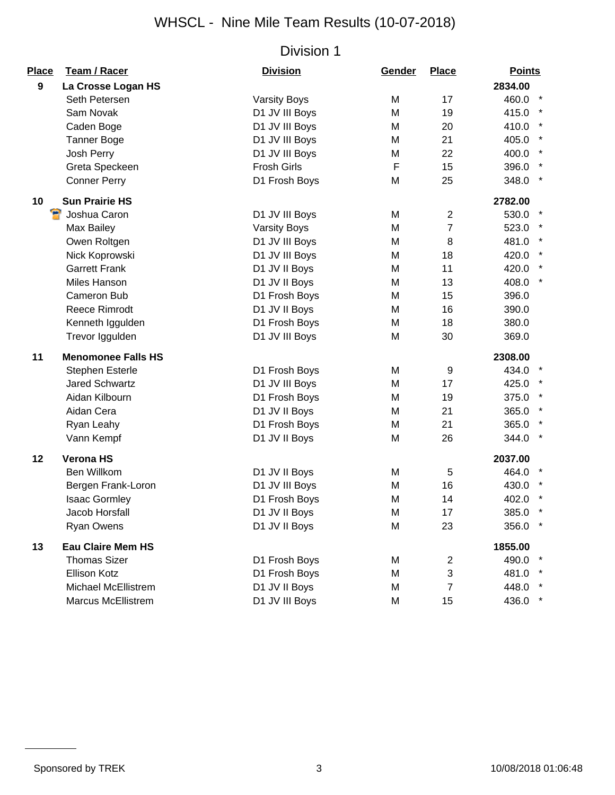| <b>Place</b>     | <b>Team / Racer</b>       | <b>Division</b>     | Gender | <b>Place</b>   | <b>Points</b>    |
|------------------|---------------------------|---------------------|--------|----------------|------------------|
| $\boldsymbol{9}$ | La Crosse Logan HS        |                     |        |                | 2834.00          |
|                  | Seth Petersen             | <b>Varsity Boys</b> | M      | 17             | 460.0 *          |
|                  | Sam Novak                 | D1 JV III Boys      | M      | 19             | 415.0            |
|                  | Caden Boge                | D1 JV III Boys      | M      | 20             | 410.0            |
|                  | <b>Tanner Boge</b>        | D1 JV III Boys      | M      | 21             | 405.0            |
|                  | Josh Perry                | D1 JV III Boys      | М      | 22             | 400.0            |
|                  | Greta Speckeen            | <b>Frosh Girls</b>  | F      | 15             | 396.0            |
|                  | <b>Conner Perry</b>       | D1 Frosh Boys       | M      | 25             | 348.0            |
| 10               | <b>Sun Prairie HS</b>     |                     |        |                | 2782.00          |
|                  | Э<br>Joshua Caron         | D1 JV III Boys      | M      | 2              | 530.0            |
|                  | Max Bailey                | <b>Varsity Boys</b> | M      | $\overline{7}$ | 523.0            |
|                  | Owen Roltgen              | D1 JV III Boys      | M      | 8              | 481.0            |
|                  | Nick Koprowski            | D1 JV III Boys      | M      | 18             | 420.0 *          |
|                  | <b>Garrett Frank</b>      | D1 JV II Boys       | M      | 11             | 420.0 *          |
|                  | Miles Hanson              | D1 JV II Boys       | M      | 13             | $\star$<br>408.0 |
|                  | Cameron Bub               | D1 Frosh Boys       | M      | 15             | 396.0            |
|                  | <b>Reece Rimrodt</b>      | D1 JV II Boys       | M      | 16             | 390.0            |
|                  | Kenneth Iggulden          | D1 Frosh Boys       | M      | 18             | 380.0            |
|                  | Trevor Iggulden           | D1 JV III Boys      | M      | 30             | 369.0            |
| 11               | <b>Menomonee Falls HS</b> |                     |        |                | 2308.00          |
|                  | Stephen Esterle           | D1 Frosh Boys       | M      | 9              | 434.0            |
|                  | <b>Jared Schwartz</b>     | D1 JV III Boys      | M      | 17             | 425.0            |
|                  | Aidan Kilbourn            | D1 Frosh Boys       | M      | 19             | 375.0            |
|                  | Aidan Cera                | D1 JV II Boys       | M      | 21             | 365.0            |
|                  | Ryan Leahy                | D1 Frosh Boys       | M      | 21             | 365.0            |
|                  | Vann Kempf                | D1 JV II Boys       | M      | 26             | $\ast$<br>344.0  |
| 12               | <b>Verona HS</b>          |                     |        |                | 2037.00          |
|                  | Ben Willkom               | D1 JV II Boys       | M      | 5              | 464.0            |
|                  | Bergen Frank-Loron        | D1 JV III Boys      | M      | 16             | 430.0            |
|                  | <b>Isaac Gormley</b>      | D1 Frosh Boys       | M      | 14             | 402.0            |
|                  | Jacob Horsfall            | D1 JV II Boys       | M      | 17             | 385.0 *          |
|                  | <b>Ryan Owens</b>         | D1 JV II Boys       | M      | 23             | 356.0 *          |
| 13               | <b>Eau Claire Mem HS</b>  |                     |        |                | 1855.00          |
|                  | <b>Thomas Sizer</b>       | D1 Frosh Boys       | M      | $\overline{2}$ | 490.0            |
|                  | Ellison Kotz              | D1 Frosh Boys       | M      | 3              | 481.0 *          |
|                  | Michael McEllistrem       | D1 JV II Boys       | M      | 7              | 448.0 *          |
|                  | <b>Marcus McEllistrem</b> | D1 JV III Boys      | M      | 15             | 436.0<br>$\star$ |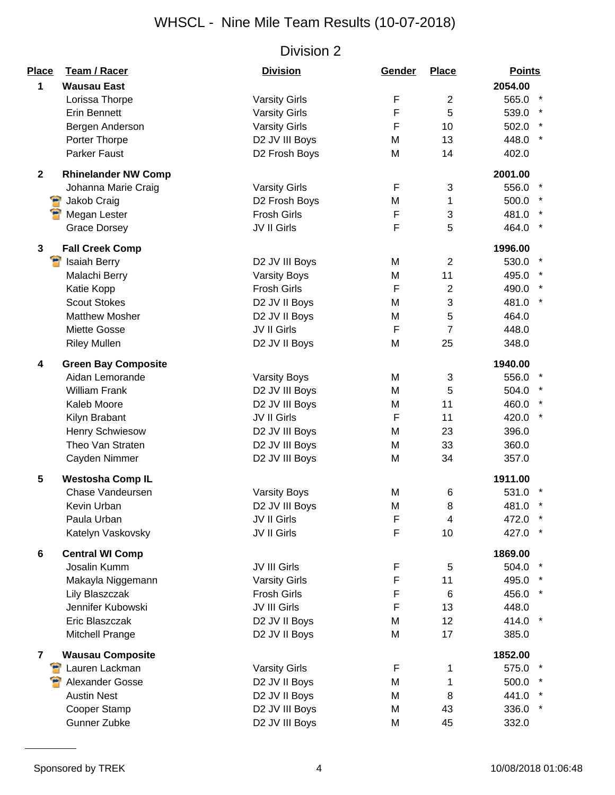| Place                   | Team / Racer                              | <b>Division</b>      | Gender      | <b>Place</b>   | <b>Points</b>    |
|-------------------------|-------------------------------------------|----------------------|-------------|----------------|------------------|
| 1                       | <b>Wausau East</b>                        |                      |             |                | 2054.00          |
|                         | Lorissa Thorpe                            | <b>Varsity Girls</b> | F           | $\overline{2}$ | 565.0            |
|                         | <b>Erin Bennett</b>                       | <b>Varsity Girls</b> | F           | 5              | 539.0            |
|                         | Bergen Anderson                           | <b>Varsity Girls</b> | F           | 10             | 502.0            |
|                         | Porter Thorpe                             | D2 JV III Boys       | M           | 13             | $\star$<br>448.0 |
|                         | Parker Faust                              | D2 Frosh Boys        | M           | 14             | 402.0            |
| $\mathbf{2}$            | <b>Rhinelander NW Comp</b>                |                      |             |                | 2001.00          |
|                         | Johanna Marie Craig                       | <b>Varsity Girls</b> | F           | 3              | 556.0            |
|                         | <b>B</b> Jakob Craig                      | D2 Frosh Boys        | M           | 1              | 500.0            |
|                         | Megan Lester                              | <b>Frosh Girls</b>   | F           | 3              | 481.0            |
|                         | <b>Grace Dorsey</b>                       | JV II Girls          | F           | 5              | 464.0            |
|                         |                                           |                      |             |                |                  |
| 3                       | <b>Fall Creek Comp</b>                    |                      |             |                | 1996.00          |
|                         | Я<br><b>Isaiah Berry</b>                  | D2 JV III Boys       | M           | $\overline{2}$ | 530.0            |
|                         | Malachi Berry                             | <b>Varsity Boys</b>  | M           | 11             | 495.0            |
|                         | Katie Kopp                                | <b>Frosh Girls</b>   | $\mathsf F$ | $\overline{2}$ | 490.0            |
|                         | <b>Scout Stokes</b>                       | D2 JV II Boys        | M           | 3              | 481.0            |
|                         | <b>Matthew Mosher</b>                     | D2 JV II Boys        | M           | 5              | 464.0            |
|                         | Miette Gosse                              | JV II Girls          | $\mathsf F$ | $\overline{7}$ | 448.0            |
|                         | <b>Riley Mullen</b>                       | D2 JV II Boys        | M           | 25             | 348.0            |
| 4                       | <b>Green Bay Composite</b>                |                      |             |                | 1940.00          |
|                         | Aidan Lemorande                           | <b>Varsity Boys</b>  | M           | 3              | 556.0            |
|                         | <b>William Frank</b>                      | D2 JV III Boys       | M           | 5              | 504.0 *          |
|                         | Kaleb Moore                               | D2 JV III Boys       | M           | 11             | 460.0            |
|                         | Kilyn Brabant                             | JV II Girls          | $\mathsf F$ | 11             | 420.0            |
|                         | <b>Henry Schwiesow</b>                    | D2 JV III Boys       | M           | 23             | 396.0            |
|                         | Theo Van Straten                          | D2 JV III Boys       | M           | 33             | 360.0            |
|                         | Cayden Nimmer                             | D2 JV III Boys       | M           | 34             | 357.0            |
| 5                       | <b>Westosha Comp IL</b>                   |                      |             |                | 1911.00          |
|                         | Chase Vandeursen                          | <b>Varsity Boys</b>  | M           | 6              | 531.0            |
|                         | Kevin Urban                               | D2 JV III Boys       | M           | 8              | 481.0            |
|                         | Paula Urban                               | JV II Girls          | F           | 4              | 472.0            |
|                         | Katelyn Vaskovsky                         | JV II Girls          | F           | 10             | 427.0            |
| 6                       | <b>Central WI Comp</b>                    |                      |             |                | 1869.00          |
|                         | Josalin Kumm                              | JV III Girls         | F           | 5              | 504.0            |
|                         | Makayla Niggemann                         | <b>Varsity Girls</b> | F           | 11             | 495.0            |
|                         | Lily Blaszczak                            | <b>Frosh Girls</b>   | F           | 6              | 456.0            |
|                         | Jennifer Kubowski                         | JV III Girls         | F           | 13             | 448.0            |
|                         | Eric Blaszczak                            | D2 JV II Boys        | M           | 12             | 414.0 *          |
|                         | Mitchell Prange                           | D2 JV II Boys        | M           | 17             | 385.0            |
|                         |                                           |                      |             |                |                  |
| $\overline{\mathbf{r}}$ | <b>Wausau Composite</b><br>Lauren Lackman | <b>Varsity Girls</b> | F           | 1              | 1852.00<br>575.0 |
|                         | Alexander Gosse                           | D2 JV II Boys        | M           | 1              | 500.0            |
|                         | <b>Austin Nest</b>                        | D2 JV II Boys        | M           | 8              | 441.0            |
|                         | Cooper Stamp                              | D2 JV III Boys       | M           | 43             | $\star$<br>336.0 |
|                         | Gunner Zubke                              | D2 JV III Boys       | M           | 45             | 332.0            |
|                         |                                           |                      |             |                |                  |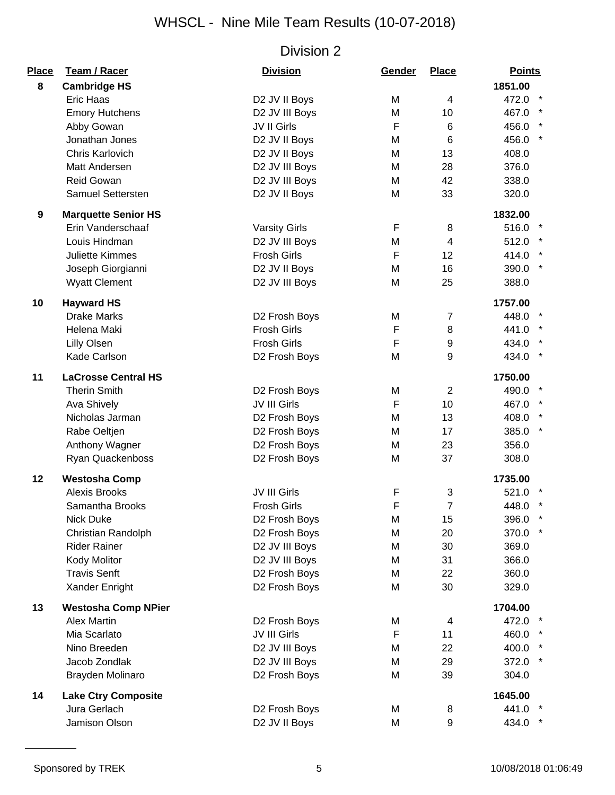| Place | Team / Racer                                      | <b>Division</b>      | Gender      | <b>Place</b>   | <b>Points</b>    |
|-------|---------------------------------------------------|----------------------|-------------|----------------|------------------|
| 8     | <b>Cambridge HS</b>                               |                      |             |                | 1851.00          |
|       | Eric Haas                                         | D2 JV II Boys        | M           | 4              | 472.0            |
|       | <b>Emory Hutchens</b>                             | D2 JV III Boys       | M           | 10             | 467.0            |
|       | Abby Gowan                                        | JV II Girls          | F           | 6              | 456.0            |
|       | Jonathan Jones                                    | D2 JV II Boys        | M           | 6              | $\star$<br>456.0 |
|       | Chris Karlovich                                   | D2 JV II Boys        | M           | 13             | 408.0            |
|       | Matt Andersen                                     | D2 JV III Boys       | M           | 28             | 376.0            |
|       | <b>Reid Gowan</b>                                 | D2 JV III Boys       | M           | 42             | 338.0            |
|       | Samuel Settersten                                 | D2 JV II Boys        | M           | 33             | 320.0            |
| 9     | <b>Marquette Senior HS</b>                        |                      |             |                | 1832.00          |
|       | Erin Vanderschaaf                                 | <b>Varsity Girls</b> | F           | 8              | 516.0 *          |
|       | Louis Hindman                                     | D2 JV III Boys       | M           | $\overline{4}$ | 512.0 *          |
|       | <b>Juliette Kimmes</b>                            | <b>Frosh Girls</b>   | $\mathsf F$ | 12             | 414.0            |
|       | Joseph Giorgianni                                 | D2 JV II Boys        | M           | 16             | $\star$<br>390.0 |
|       | <b>Wyatt Clement</b>                              | D2 JV III Boys       | M           | 25             | 388.0            |
| 10    | <b>Hayward HS</b>                                 |                      |             |                | 1757.00          |
|       | <b>Drake Marks</b>                                | D2 Frosh Boys        | M           | $\overline{7}$ | 448.0            |
|       | Helena Maki                                       | <b>Frosh Girls</b>   | F           | 8              | 441.0            |
|       | <b>Lilly Olsen</b>                                | <b>Frosh Girls</b>   | F           | 9              | 434.0            |
|       | Kade Carlson                                      | D2 Frosh Boys        | M           | 9              | 434.0            |
|       |                                                   |                      |             |                |                  |
| 11    | <b>LaCrosse Central HS</b><br><b>Therin Smith</b> | D2 Frosh Boys        | M           | $\overline{2}$ | 1750.00<br>490.0 |
|       | Ava Shively                                       | JV III Girls         | F           | 10             | 467.0 *          |
|       | Nicholas Jarman                                   |                      |             | 13             |                  |
|       |                                                   | D2 Frosh Boys        | M           |                | 408.0<br>385.0 * |
|       | Rabe Oeltjen                                      | D2 Frosh Boys        | M           | 17             |                  |
|       | Anthony Wagner                                    | D2 Frosh Boys        | M           | 23<br>37       | 356.0            |
|       | Ryan Quackenboss                                  | D2 Frosh Boys        | M           |                | 308.0            |
| 12    | <b>Westosha Comp</b>                              |                      |             |                | 1735.00          |
|       | <b>Alexis Brooks</b>                              | JV III Girls         | F           | 3              | 521.0            |
|       | Samantha Brooks                                   | <b>Frosh Girls</b>   | F           | $\overline{7}$ | 448.0            |
|       | Nick Duke                                         | D2 Frosh Boys        | M           | 15             | 396.0            |
|       | Christian Randolph                                | D2 Frosh Boys        | M           | 20             | 370.0            |
|       | <b>Rider Rainer</b>                               | D2 JV III Boys       | M           | 30             | 369.0            |
|       | Kody Molitor                                      | D2 JV III Boys       | M           | 31             | 366.0            |
|       | <b>Travis Senft</b>                               | D2 Frosh Boys        | M           | 22             | 360.0            |
|       | Xander Enright                                    | D2 Frosh Boys        | M           | 30             | 329.0            |
| 13    | <b>Westosha Comp NPier</b>                        |                      |             |                | 1704.00          |
|       | <b>Alex Martin</b>                                | D2 Frosh Boys        | M           | 4              | 472.0 *          |
|       | Mia Scarlato                                      | JV III Girls         | F           | 11             | 460.0 *          |
|       | Nino Breeden                                      | D2 JV III Boys       | M           | 22             | 400.0            |
|       | Jacob Zondlak                                     | D2 JV III Boys       | M           | 29             | 372.0            |
|       | Brayden Molinaro                                  | D2 Frosh Boys        | M           | 39             | 304.0            |
| 14    | <b>Lake Ctry Composite</b>                        |                      |             |                | 1645.00          |
|       | Jura Gerlach                                      | D2 Frosh Boys        | M           | 8              | 441.0 *          |
|       | Jamison Olson                                     | D2 JV II Boys        | M           | 9              | 434.0 *          |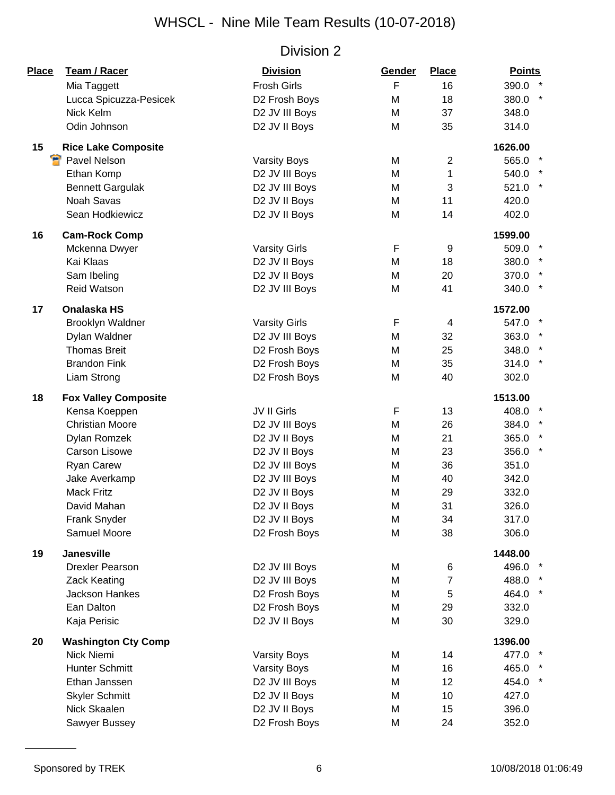| Place | <b>Team / Racer</b>         | <b>Division</b>      | Gender | <b>Place</b>   | <b>Points</b> |
|-------|-----------------------------|----------------------|--------|----------------|---------------|
|       | Mia Taggett                 | <b>Frosh Girls</b>   | F      | 16             | 390.0 *       |
|       | Lucca Spicuzza-Pesicek      | D2 Frosh Boys        | M      | 18             | 380.0 *       |
|       | Nick Kelm                   | D2 JV III Boys       | M      | 37             | 348.0         |
|       | Odin Johnson                | D2 JV II Boys        | M      | 35             | 314.0         |
| 15    | <b>Rice Lake Composite</b>  |                      |        |                | 1626.00       |
| Я     | Pavel Nelson                | <b>Varsity Boys</b>  | M      | 2              | 565.0         |
|       | Ethan Komp                  | D2 JV III Boys       | M      | 1              | 540.0         |
|       | <b>Bennett Gargulak</b>     | D2 JV III Boys       | M      | 3              | 521.0 *       |
|       | <b>Noah Savas</b>           | D2 JV II Boys        | M      | 11             | 420.0         |
|       | Sean Hodkiewicz             | D2 JV II Boys        | M      | 14             | 402.0         |
| 16    | <b>Cam-Rock Comp</b>        |                      |        |                | 1599.00       |
|       | Mckenna Dwyer               | <b>Varsity Girls</b> | F      | 9              | 509.0         |
|       | Kai Klaas                   | D2 JV II Boys        | M      | 18             | 380.0 *       |
|       | Sam Ibeling                 | D2 JV II Boys        | M      | 20             | 370.0 *       |
|       | <b>Reid Watson</b>          | D2 JV III Boys       | M      | 41             | 340.0 *       |
| 17    | <b>Onalaska HS</b>          |                      |        |                | 1572.00       |
|       | Brooklyn Waldner            | <b>Varsity Girls</b> | F      | 4              | 547.0         |
|       | Dylan Waldner               | D2 JV III Boys       | M      | 32             | 363.0 *       |
|       | <b>Thomas Breit</b>         | D2 Frosh Boys        | M      | 25             | 348.0 *       |
|       | <b>Brandon Fink</b>         | D2 Frosh Boys        | M      | 35             | $314.0$ *     |
|       | Liam Strong                 | D2 Frosh Boys        | M      | 40             | 302.0         |
| 18    | <b>Fox Valley Composite</b> |                      |        |                | 1513.00       |
|       | Kensa Koeppen               | JV II Girls          | F      | 13             | 408.0         |
|       | <b>Christian Moore</b>      | D2 JV III Boys       | M      | 26             | 384.0 *       |
|       | Dylan Romzek                | D2 JV II Boys        | M      | 21             | 365.0         |
|       | <b>Carson Lisowe</b>        | D2 JV II Boys        | M      | 23             | 356.0 *       |
|       | Ryan Carew                  | D2 JV III Boys       | M      | 36             | 351.0         |
|       | Jake Averkamp               | D2 JV III Boys       | M      | 40             | 342.0         |
|       | <b>Mack Fritz</b>           | D2 JV II Boys        | M      | 29             | 332.0         |
|       | David Mahan                 | D2 JV II Boys        | M      | 31             | 326.0         |
|       | Frank Snyder                | D2 JV II Boys        | M      | 34             | 317.0         |
|       | Samuel Moore                | D2 Frosh Boys        | M      | 38             | 306.0         |
| 19    | <b>Janesville</b>           |                      |        |                | 1448.00       |
|       | <b>Drexler Pearson</b>      | D2 JV III Boys       | M      | 6              | 496.0         |
|       | Zack Keating                | D2 JV III Boys       | M      | $\overline{7}$ | 488.0         |
|       | Jackson Hankes              | D2 Frosh Boys        | M      | 5              | 464.0         |
|       | Ean Dalton                  | D2 Frosh Boys        | M      | 29             | 332.0         |
|       | Kaja Perisic                | D2 JV II Boys        | M      | 30             | 329.0         |
| 20    | <b>Washington Cty Comp</b>  |                      |        |                | 1396.00       |
|       | Nick Niemi                  | <b>Varsity Boys</b>  | M      | 14             | 477.0         |
|       | Hunter Schmitt              | <b>Varsity Boys</b>  | M      | 16             | 465.0 *       |
|       | Ethan Janssen               | D2 JV III Boys       | M      | 12             | 454.0 *       |
|       | <b>Skyler Schmitt</b>       | D2 JV II Boys        | M      | 10             | 427.0         |
|       | Nick Skaalen                | D2 JV II Boys        | M      | 15             | 396.0         |
|       | Sawyer Bussey               | D2 Frosh Boys        | M      | 24             | 352.0         |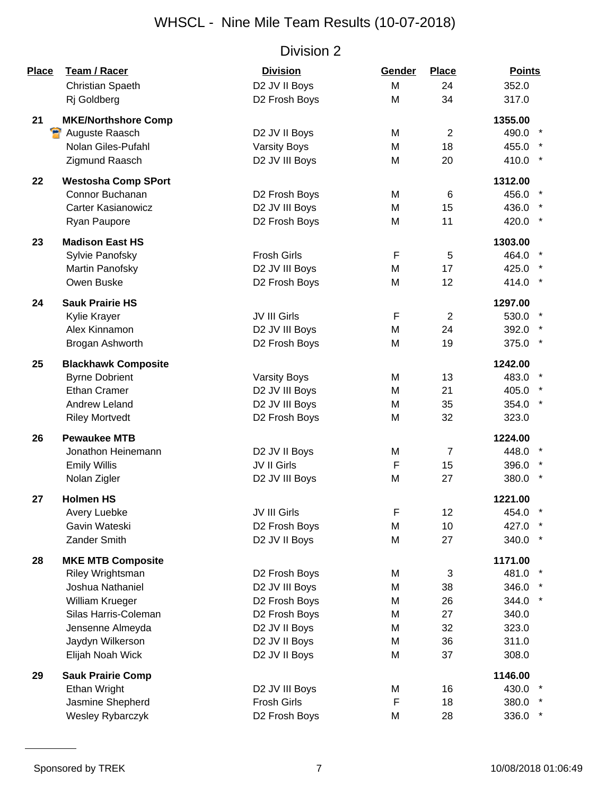| <b>Place</b> | Team / Racer               | <b>Division</b>     | Gender | <b>Place</b>   | <b>Points</b> |
|--------------|----------------------------|---------------------|--------|----------------|---------------|
|              | <b>Christian Spaeth</b>    | D2 JV II Boys       | M      | 24             | 352.0         |
|              | Rj Goldberg                | D2 Frosh Boys       | M      | 34             | 317.0         |
| 21           | <b>MKE/Northshore Comp</b> |                     |        |                | 1355.00       |
|              | <b>P</b> Auguste Raasch    | D2 JV II Boys       | M      | $\overline{2}$ | 490.0         |
|              | Nolan Giles-Pufahl         | <b>Varsity Boys</b> | M      | 18             | 455.0         |
|              | Zigmund Raasch             | D2 JV III Boys      | M      | 20             | 410.0         |
| 22           | <b>Westosha Comp SPort</b> |                     |        |                | 1312.00       |
|              | Connor Buchanan            | D2 Frosh Boys       | M      | 6              | 456.0         |
|              | <b>Carter Kasianowicz</b>  | D2 JV III Boys      | M      | 15             | 436.0         |
|              | Ryan Paupore               | D2 Frosh Boys       | M      | 11             | 420.0         |
| 23           | <b>Madison East HS</b>     |                     |        |                | 1303.00       |
|              | Sylvie Panofsky            | <b>Frosh Girls</b>  | F      | 5              | 464.0         |
|              | Martin Panofsky            | D2 JV III Boys      | M      | 17             | 425.0         |
|              | Owen Buske                 | D2 Frosh Boys       | M      | 12             | 414.0         |
| 24           | <b>Sauk Prairie HS</b>     |                     |        |                | 1297.00       |
|              | Kylie Krayer               | JV III Girls        | F      | $\overline{2}$ | 530.0         |
|              | Alex Kinnamon              | D2 JV III Boys      | M      | 24             | 392.0         |
|              | Brogan Ashworth            | D2 Frosh Boys       | M      | 19             | 375.0         |
| 25           | <b>Blackhawk Composite</b> |                     |        |                | 1242.00       |
|              | <b>Byrne Dobrient</b>      | <b>Varsity Boys</b> | M      | 13             | 483.0         |
|              | <b>Ethan Cramer</b>        | D2 JV III Boys      | M      | 21             | 405.0         |
|              | Andrew Leland              | D2 JV III Boys      | M      | 35             | 354.0         |
|              | <b>Riley Mortvedt</b>      | D2 Frosh Boys       | M      | 32             | 323.0         |
| 26           | <b>Pewaukee MTB</b>        |                     |        |                | 1224.00       |
|              | Jonathon Heinemann         | D2 JV II Boys       | M      | $\overline{7}$ | 448.0         |
|              | <b>Emily Willis</b>        | JV II Girls         | F      | 15             | 396.0         |
|              | Nolan Zigler               | D2 JV III Boys      | M      | 27             | 380.0         |
| 27           | <b>Holmen HS</b>           |                     |        |                | 1221.00       |
|              | Avery Luebke               | JV III Girls        | F      | 12             | 454.0 *       |
|              | Gavin Wateski              | D2 Frosh Boys       | M      | 10             | 427.0         |
|              | Zander Smith               | D2 JV II Boys       | M      | 27             | 340.0         |
| 28           | <b>MKE MTB Composite</b>   |                     |        |                | 1171.00       |
|              | Riley Wrightsman           | D2 Frosh Boys       | M      | 3              | 481.0         |
|              | Joshua Nathaniel           | D2 JV III Boys      | M      | 38             | 346.0         |
|              | William Krueger            | D2 Frosh Boys       | M      | 26             | 344.0         |
|              | Silas Harris-Coleman       | D2 Frosh Boys       | M      | 27             | 340.0         |
|              | Jensenne Almeyda           | D2 JV II Boys       | M      | 32             | 323.0         |
|              | Jaydyn Wilkerson           | D2 JV II Boys       | M      | 36             | 311.0         |
|              | Elijah Noah Wick           | D2 JV II Boys       | M      | 37             | 308.0         |
| 29           | <b>Sauk Prairie Comp</b>   |                     |        |                | 1146.00       |
|              | Ethan Wright               | D2 JV III Boys      | M      | 16             | 430.0         |
|              | Jasmine Shepherd           | <b>Frosh Girls</b>  | F      | 18             | 380.0         |
|              | Wesley Rybarczyk           | D2 Frosh Boys       | M      | 28             | 336.0         |